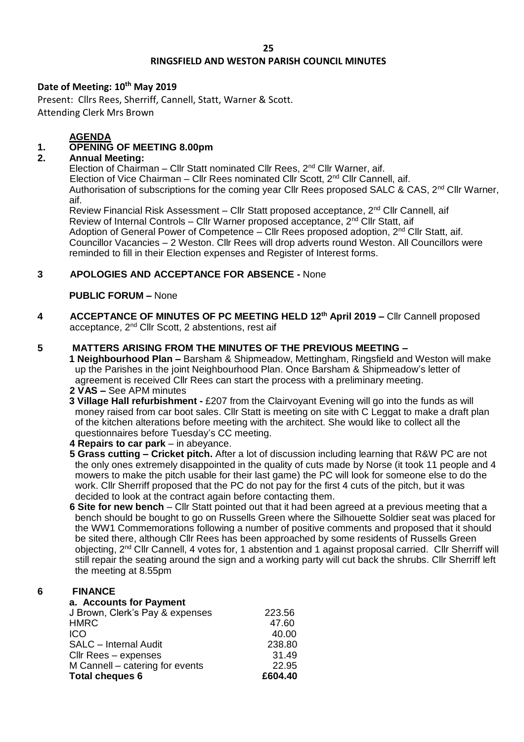## **RINGSFIELD AND WESTON PARISH COUNCIL MINUTES**

#### **Date of Meeting: 10th May 2019**

Present: Cllrs Rees, Sherriff, Cannell, Statt, Warner & Scott. Attending Clerk Mrs Brown

### **AGENDA**

# **1. OPENING OF MEETING 8.00pm**

### **2. Annual Meeting:**

Election of Chairman – Cllr Statt nominated Cllr Rees,  $2^{nd}$  Cllr Warner, aif. Election of Vice Chairman – Cllr Rees nominated Cllr Scott, 2<sup>nd</sup> Cllr Cannell, aif. Authorisation of subscriptions for the coming year Cllr Rees proposed SALC & CAS, 2<sup>nd</sup> Cllr Warner, aif.

Review Financial Risk Assessment – Cllr Statt proposed acceptance,  $2^{nd}$  Cllr Cannell, aif Review of Internal Controls – Cllr Warner proposed acceptance, 2<sup>nd</sup> Cllr Statt, aif Adoption of General Power of Competence – Cllr Rees proposed adoption,  $2^{nd}$  Cllr Statt, aif. Councillor Vacancies – 2 Weston. Cllr Rees will drop adverts round Weston. All Councillors were reminded to fill in their Election expenses and Register of Interest forms.

### **3 APOLOGIES AND ACCEPTANCE FOR ABSENCE -** None

#### **PUBLIC FORUM –** None

**4 ACCEPTANCE OF MINUTES OF PC MEETING HELD 12th April 2019 –** Cllr Cannell proposed acceptance, 2<sup>nd</sup> Cllr Scott, 2 abstentions, rest aif

### **5 MATTERS ARISING FROM THE MINUTES OF THE PREVIOUS MEETING –**

- **1 Neighbourhood Plan –** Barsham & Shipmeadow, Mettingham, Ringsfield and Weston will make up the Parishes in the joint Neighbourhood Plan. Once Barsham & Shipmeadow's letter of agreement is received Cllr Rees can start the process with a preliminary meeting.
- **2 VAS –** See APM minutes
- **3 Village Hall refurbishment -** £207 from the Clairvoyant Evening will go into the funds as will money raised from car boot sales. Cllr Statt is meeting on site with C Leggat to make a draft plan of the kitchen alterations before meeting with the architect. She would like to collect all the questionnaires before Tuesday's CC meeting.
- **4 Repairs to car park** in abeyance.
- **5 Grass cutting – Cricket pitch.** After a lot of discussion including learning that R&W PC are not the only ones extremely disappointed in the quality of cuts made by Norse (it took 11 people and 4 mowers to make the pitch usable for their last game) the PC will look for someone else to do the work. Cllr Sherriff proposed that the PC do not pay for the first 4 cuts of the pitch, but it was decided to look at the contract again before contacting them.
- **6 Site for new bench** Cllr Statt pointed out that it had been agreed at a previous meeting that a bench should be bought to go on Russells Green where the Silhouette Soldier seat was placed for the WW1 Commemorations following a number of positive comments and proposed that it should be sited there, although Cllr Rees has been approached by some residents of Russells Green objecting, 2nd Cllr Cannell, 4 votes for, 1 abstention and 1 against proposal carried. Cllr Sherriff will still repair the seating around the sign and a working party will cut back the shrubs. Cllr Sherriff left the meeting at 8.55pm

#### **6 FINANCE**

| a. Accounts for Payment         |         |
|---------------------------------|---------|
| J Brown, Clerk's Pay & expenses | 223.56  |
| <b>HMRC</b>                     | 47.60   |
| ICO                             | 40.00   |
| <b>SALC</b> - Internal Audit    | 238.80  |
| Cllr Rees - expenses            | 31.49   |
| M Cannell - catering for events | 22.95   |
| <b>Total cheques 6</b>          | £604.40 |